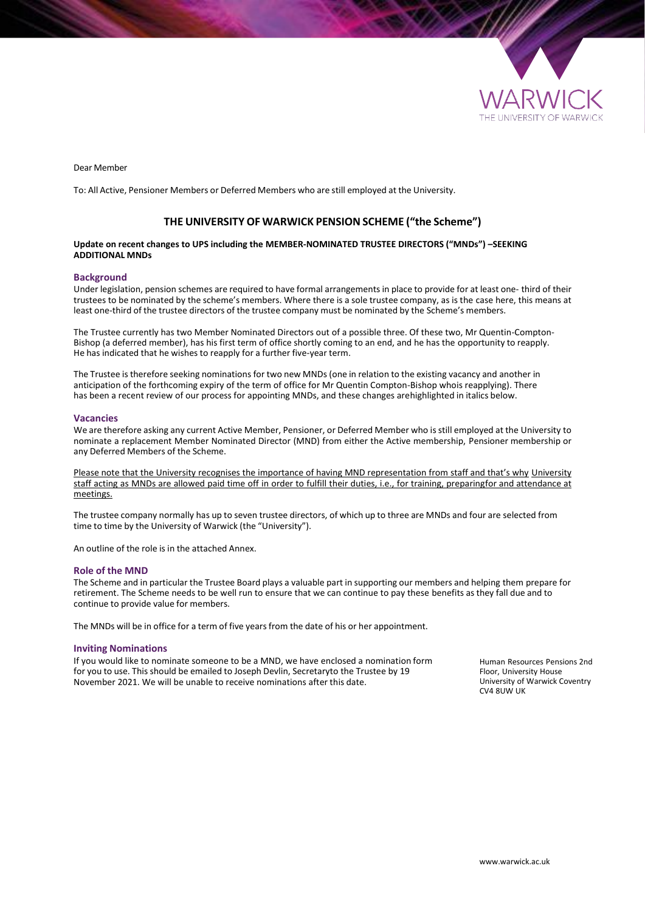

Dear Member

To: All Active, Pensioner Members or Deferred Members who are still employed at the University.

## **THE UNIVERSITY OF WARWICK PENSION SCHEME ("the Scheme")**

## **Update on recent changes to UPS including the MEMBER-NOMINATED TRUSTEE DIRECTORS ("MNDs") –SEEKING ADDITIONAL MNDs**

## **Background**

Under legislation, pension schemes are required to have formal arrangementsin place to provide for at least one- third of their trustees to be nominated by the scheme's members. Where there is a sole trustee company, as is the case here, this means at least one-third of the trustee directors of the trustee company must be nominated by the Scheme's members.

The Trustee currently has two Member Nominated Directors out of a possible three. Of these two, Mr Quentin-Compton-Bishop (a deferred member), has his first term of office shortly coming to an end, and he has the opportunity to reapply. He has indicated that he wishes to reapply for a further five-year term.

The Trustee is therefore seeking nominations for two new MNDs (one in relation to the existing vacancy and another in anticipation of the forthcoming expiry of the term of office for Mr Quentin Compton-Bishop whois reapplying). There has been a recent review of our process for appointing MNDs, and these changes arehighlighted in italics below.

#### **Vacancies**

We are therefore asking any current Active Member, Pensioner, or Deferred Member who is still employed at the University to nominate a replacement Member Nominated Director (MND) from either the Active membership, Pensioner membership or any Deferred Members of the Scheme.

Please note that the University recognises the importance of having MND representation from staff and that's why University staff acting as MNDs are allowed paid time off in order to fulfill their duties, i.e., for training, preparingfor and attendance at meetings.

The trustee company normally has up to seven trustee directors, of which up to three are MNDs and four are selected from time to time by the University of Warwick (the "University").

An outline of the role is in the attached Annex.

### **Role of the MND**

The Scheme and in particular the Trustee Board plays a valuable part in supporting our members and helping them prepare for retirement. The Scheme needs to be well run to ensure that we can continue to pay these benefits as they fall due and to continue to provide value for members.

The MNDs will be in office for a term of five years from the date of his or her appointment.

#### **Inviting Nominations**

If you would like to nominate someone to be a MND, we have enclosed a nomination form for you to use. This should be emailed to Joseph Devlin, Secretaryto the Trustee by 19 November 2021. We will be unable to receive nominations after this date.

Human Resources Pensions 2nd Floor, University House University of Warwick Coventry CV4 8UW UK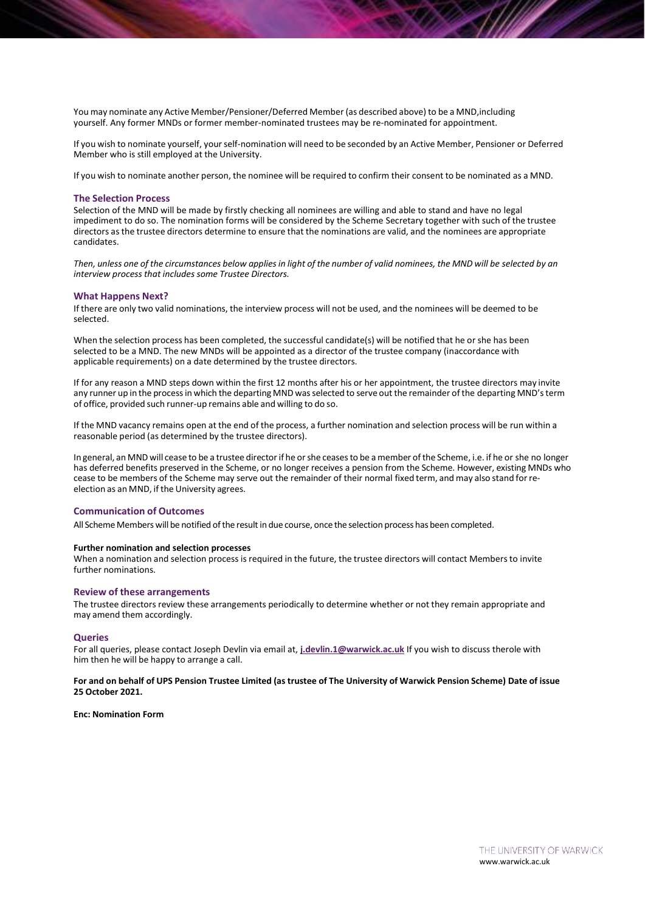You may nominate any Active Member/Pensioner/Deferred Member(as described above) to be a MND,including yourself. Any former MNDs or former member-nominated trustees may be re-nominated for appointment.

If you wish to nominate yourself, yourself-nomination will need to be seconded by an Active Member, Pensioner or Deferred Member who is still employed at the University.

If you wish to nominate another person, the nominee will be required to confirm their consent to be nominated as a MND.

### **The Selection Process**

Selection of the MND will be made by firstly checking all nominees are willing and able to stand and have no legal impediment to do so. The nomination forms will be considered by the Scheme Secretary together with such of the trustee directors as the trustee directors determine to ensure that the nominations are valid, and the nominees are appropriate candidates.

Then, unless one of the circumstances below applies in light of the number of valid nominees, the MND will be selected by an *interview process that includes some Trustee Directors.*

### **What Happens Next?**

If there are only two valid nominations, the interview process will not be used, and the nominees will be deemed to be selected.

When the selection process has been completed, the successful candidate(s) will be notified that he or she has been selected to be a MND. The new MNDs will be appointed as a director of the trustee company (inaccordance with applicable requirements) on a date determined by the trustee directors.

If for any reason a MND steps down within the first 12 months after his or her appointment, the trustee directors may invite any runner up in the process in which the departing MND was selected to serve out the remainder of the departing MND's term of office, provided such runner-up remains able and willing to do so.

If the MND vacancy remains open at the end of the process, a further nomination and selection process will be run within a reasonable period (as determined by the trustee directors).

In general, an MND will cease to be a trustee directorif he orshe ceasesto be a member ofthe Scheme, i.e. if he or she no longer has deferred benefits preserved in the Scheme, or no longer receives a pension from the Scheme. However, existing MNDs who cease to be members of the Scheme may serve out the remainder of their normal fixed term, and may also stand forreelection as an MND, if the University agrees.

#### **Communication of Outcomes**

All Scheme Members will be notified of the result in due course, once the selection process has been completed.

#### **Further nomination and selection processes**

When a nomination and selection process is required in the future, the trustee directors will contact Members to invite further nominations.

## **Review of these arrangements**

The trustee directors review these arrangements periodically to determine whether or not they remain appropriate and may amend them accordingly.

#### **Queries**

For all queries, please contact Joseph Devlin via email at, **[j.devlin.1@warwick.ac.uk](mailto:j.devlin.1@warwick.ac.uk)** If you wish to discuss therole with him then he will be happy to arrange a call.

## For and on behalf of UPS Pension Trustee Limited (as trustee of The University of Warwick Pension Scheme) Date of issue **25 October 2021.**

**Enc: Nomination Form**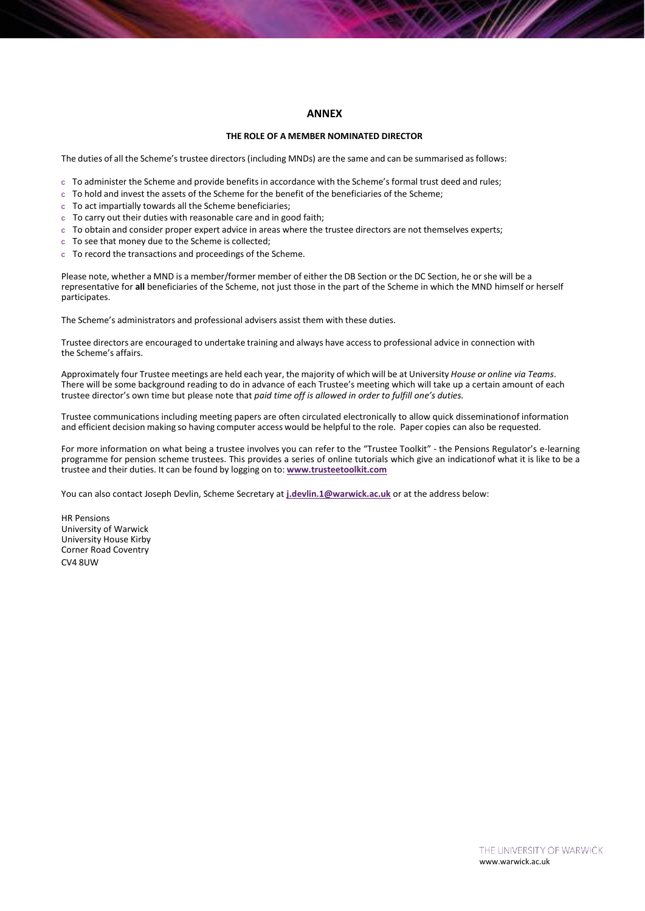# **ANNEX**

### **THE ROLE OF A MEMBER NOMINATED DIRECTOR**

The duties of all the Scheme's trustee directors (including MNDs) are the same and can be summarised as follows:

- c To administer the Scheme and provide benefits in accordance with the Scheme's formal trust deed and rules;
- c To hold and invest the assets of the Scheme for the benefit of the beneficiaries of the Scheme;
- c To act impartially towards all the Scheme beneficiaries;
- c To carry out their duties with reasonable care and in good faith;
- c To obtain and consider proper expert advice in areas where the trustee directors are not themselves experts;
- c To see that money due to the Scheme is collected;
- c To record the transactions and proceedings of the Scheme.

Please note, whether a MND is a member/former member of either the DB Section or the DC Section, he or she will be a representative for **all** beneficiaries of the Scheme, not just those in the part of the Scheme in which the MND himself or herself participates.

The Scheme's administrators and professional advisers assist them with these duties.

Trustee directors are encouraged to undertake training and always have accessto professional advice in connection with the Scheme's affairs.

Approximately four Trustee meetings are held each year, the majority of which will be at University *House or online via Teams*. There will be some background reading to do in advance of each Trustee's meeting which will take up a certain amount of each trustee director's own time but please note that *paid time off is allowed in order to fulfill one's duties.*

Trustee communications including meeting papers are often circulated electronically to allow quick disseminationof information and efficient decision making so having computer access would be helpful to the role. Paper copies can also be requested.

For more information on what being a trustee involves you can refer to the "Trustee Toolkit" - the Pensions Regulator's e-learning programme for pension scheme trustees. This provides a series of online tutorials which give an indicationof what it is like to be a trustee and their duties. It can be found by logging on to: **[www.trusteetoolkit.com](http://www.trusteetoolkit.com/)**

You can also contact Joseph Devlin, Scheme Secretary at **[j.devlin.1@warwick.ac.uk](mailto:j.devlin.1@warwick.ac.uk)** or at the address below:

HR Pensions University of Warwick University House Kirby Corner Road Coventry CV4 8UW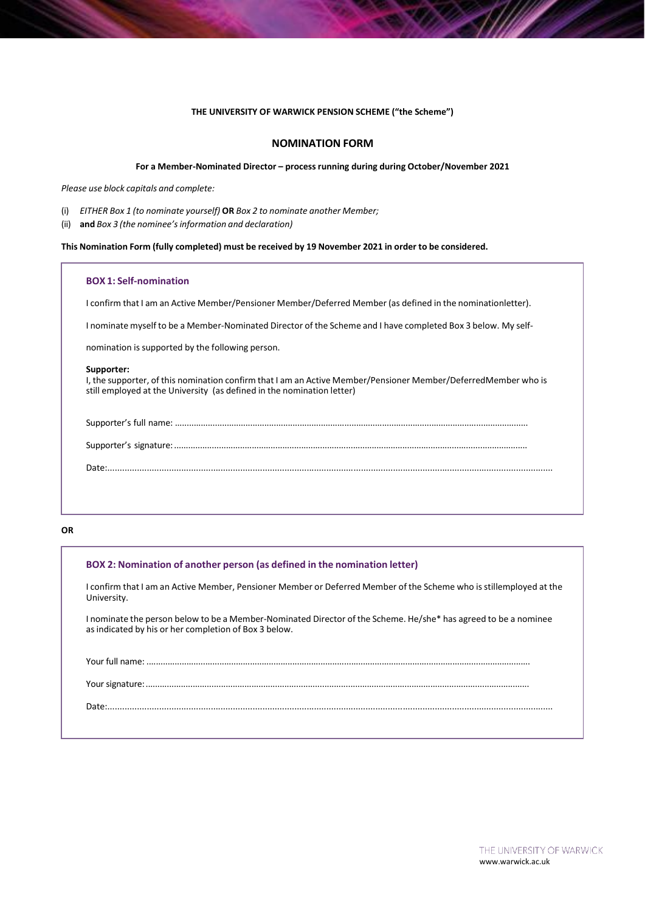# **THE UNIVERSITY OF WARWICK PENSION SCHEME ("the Scheme")**

# **NOMINATION FORM**

## **For a Member-Nominated Director – process running during during October/November 2021**

*Please use block capitals and complete:*

- (i) *EITHER Box 1 (to nominate yourself)* **OR** *Box 2 to nominate another Member;*
- (ii) **and** *Box 3 (the nominee'sinformation and declaration)*

**This Nomination Form (fully completed) must be received by 19 November 2021 in order to be considered.**

# **BOX 1: Self-nomination**

I confirm that I am an Active Member/Pensioner Member/Deferred Member (as defined in the nominationletter).

I nominate myself to be a Member-Nominated Director of the Scheme and I have completed Box 3 below. My self-

nomination is supported by the following person.

### **Supporter:**

I, the supporter, of this nomination confirm that I am an Active Member/Pensioner Member/DeferredMember who is still employed at the University (as defined in the nomination letter)

Date:.....................................................................................................................................................................................

#### **OR**

| BOX 2: Nomination of another person (as defined in the nomination letter)                                                                                                |
|--------------------------------------------------------------------------------------------------------------------------------------------------------------------------|
| I confirm that I am an Active Member, Pensioner Member or Deferred Member of the Scheme who is stillemployed at the<br>University.                                       |
| I nominate the person below to be a Member-Nominated Director of the Scheme. He/she* has agreed to be a nominee<br>as indicated by his or her completion of Box 3 below. |
|                                                                                                                                                                          |
|                                                                                                                                                                          |
|                                                                                                                                                                          |
|                                                                                                                                                                          |